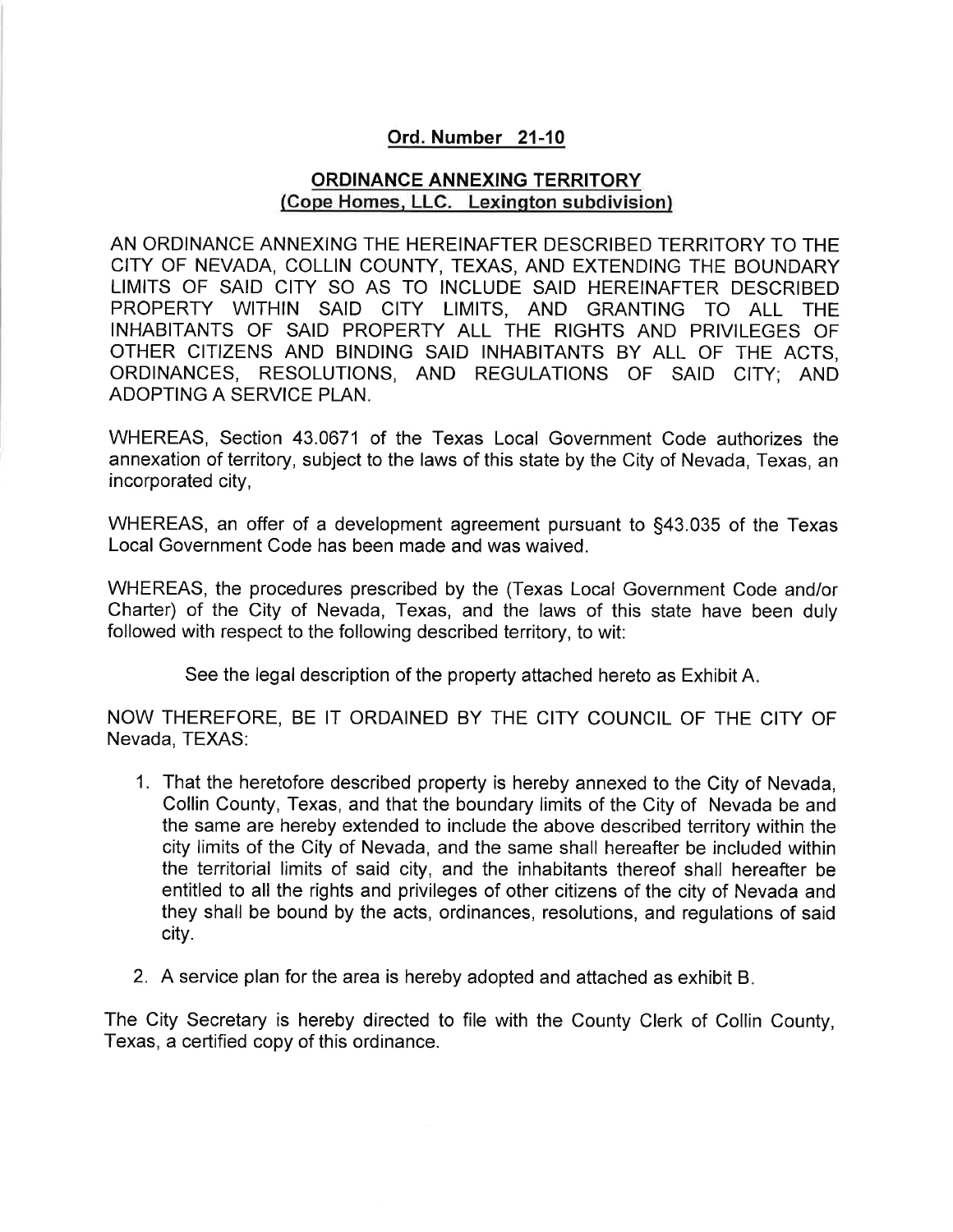# Ord. Number 21-10

# ORDINANCE ANNEXING TERRITORY (Cope Homes. LLC. Lexinqton subdivision)

AN ORDINANCE ANNEXING THE HEREINAFTER DESCRIBED TERRITORY TO THE CITY OF NEVADA, COLLIN COUNTY, TEXAS, AND EXTENDING THE BOUNDARY LIMITS OF SAID CITY SO AS TO INCLUDE SAID HEREINAFTER DESCRIBED PROPERTY WITHIN SAID CITY LIMITS, AND GRANTING TO ALL THE INHABITANTS OF SAID PROPERTY ALL THE RIGHTS AND PRIVILEGES OF OTHER CITIZENS AND BINDING SAID INHABITANTS BY ALL OF THE ACTS, ORDINANCES, RESOLUTIONS, AND REGULATIONS OF SAID CITY; AND ADOPTING A SERVICE PLAN.

WHEREAS, Section 43.0671 of the Texas Local Government Code authorizes the annexation of territory, subject to the laws of this state by the City of Nevada, Texas, an incorporated city,

WHEREAS, an offer of a development agreement pursuant to \$43.035 of the Texas Local Government Code has been made and was waived.

WHEREAS, the procedures prescribed by the (Texas Local Government Code and/or Charter) of the City of Nevada, Texas, and the laws of this state have been duly followed with respect to the following described territory, to wit:

See the legal description of the property attached hereto as Exhibit A

NOW THEREFORE, BE IT ORDAINED BY THE CITY COUNCIL OF THE CITY OF Nevada, TEXAS:

- 1. That the heretofore described property is hereby annexed to the City of Nevada, Collin County, Texas, and that the boundary limits of the City of Nevada be and the same are hereby extended to include the above described territory within the city limits of the City of Nevada, and the same shall hereafter be included within the territorial limits of said city, and the inhabitants thereof shall hereafter be entitled to all the rights and privileges of other citizens of the city of Nevada and they shall be bound by the acts, ordinances, resolutions, and regulations of said city.
- 2. A service plan for the area is hereby adopted and attached as exhibit <sup>B</sup>

The City Secretary is hereby directed to file with the County Clerk of Collin County, Texas, a certified copy of this ordinance.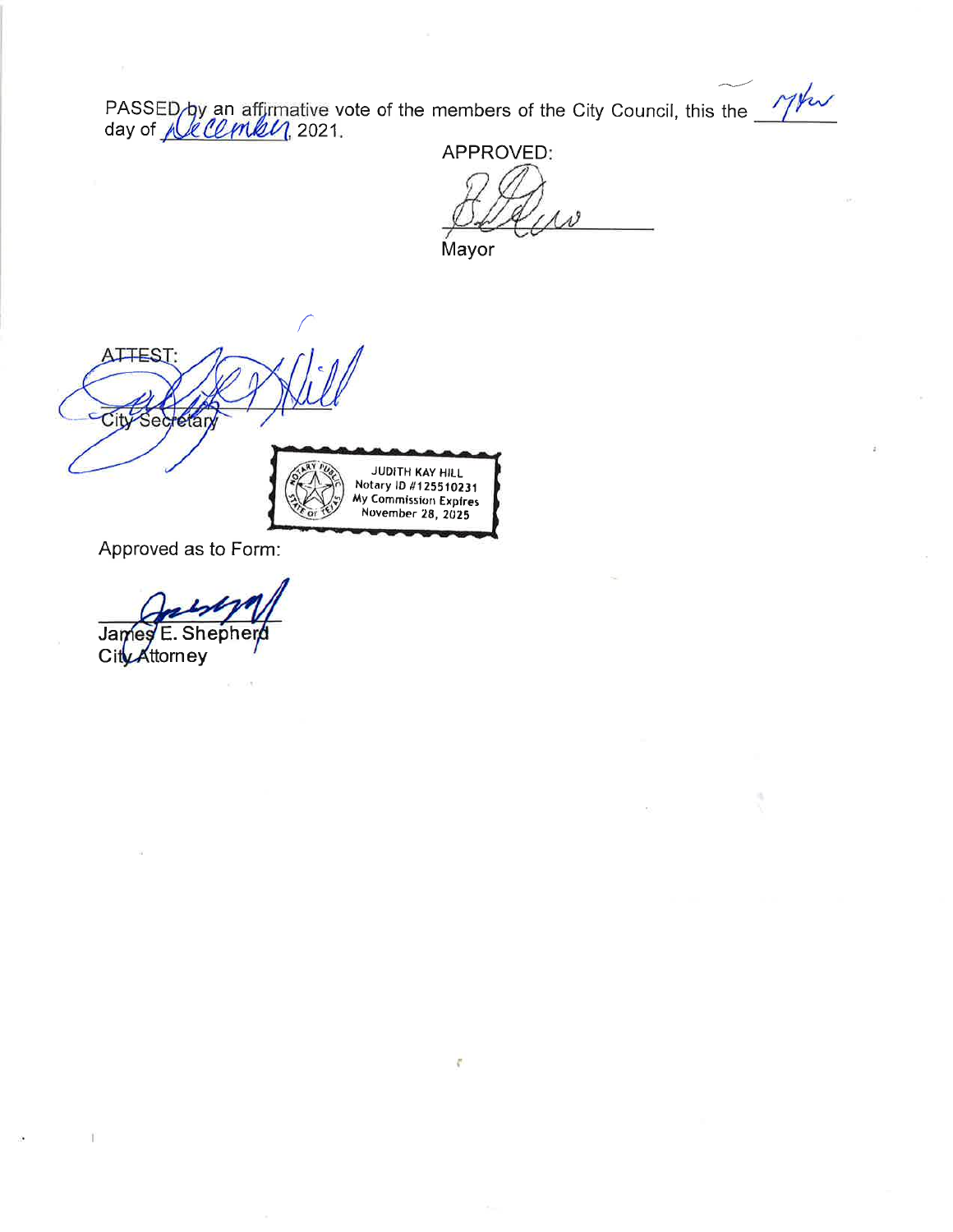PASSED by an affirmative vote of the members of the City Council, this the *Mhw*<br>day of *full COMRU*, 2021.

ę.

APPROVED: Mayor



Approved as to Form:

Shepherd James F CityAttorney

T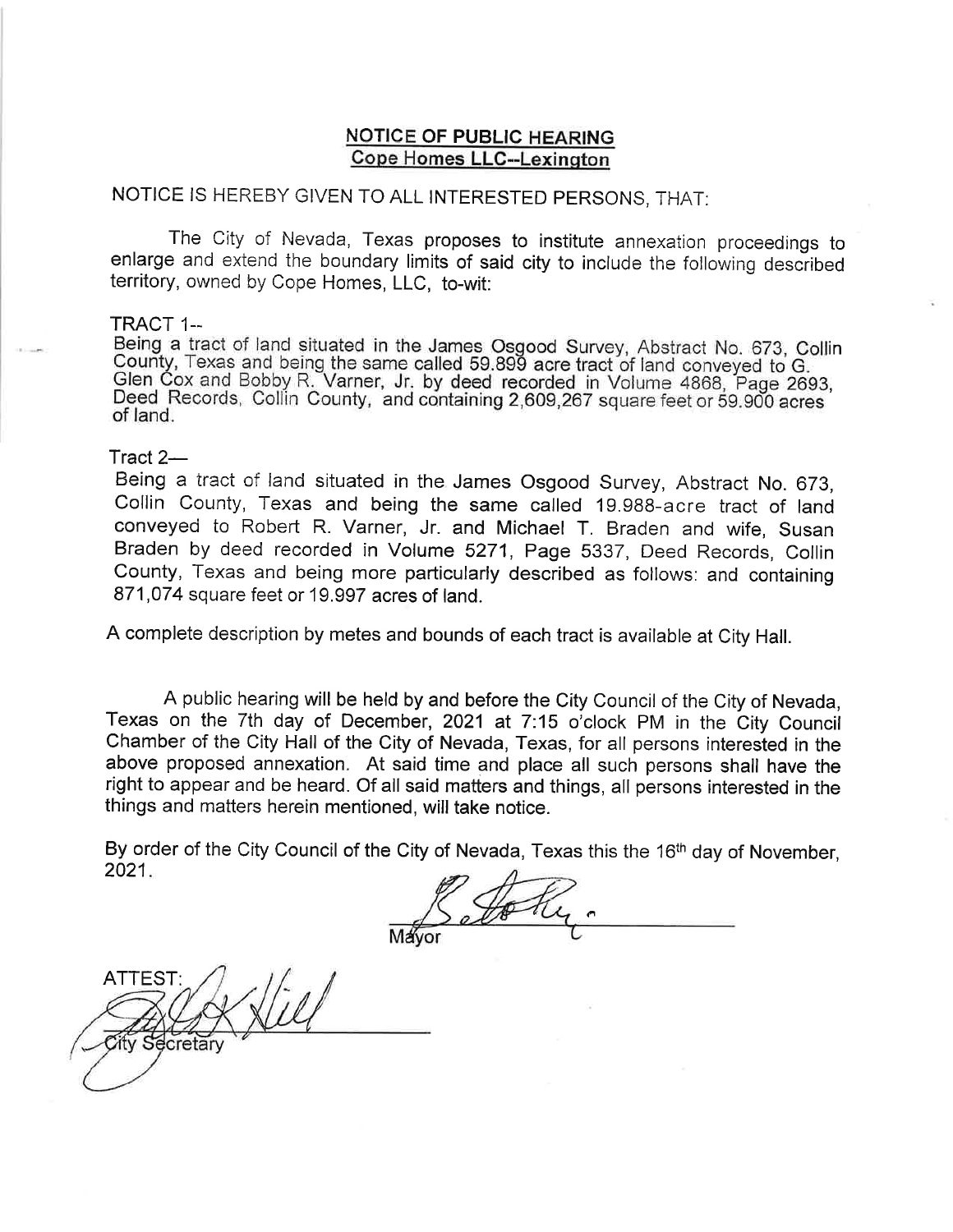# **NOTICE OF PUBLIC HEARING** Cope Homes LLC--Lexinqton

# NOTICE IS HEREBY GIVEN TO ALL INTERESTED PERSONS, THAT:

The City of Nevada, Texas proposes to institute annexation proceedings to enlarge and extend the boundary limits of said city to include the following described territory, owned by Cope Homes, LLC, to-wit.

#### TRACT 1.-

Being a tract of land situated in the James Osgood Survey, Abstract No. 673, Collin Sounty, Texas and being the same called 59.899 acre tract of land conveyed to G.<br>Glen Cox and Bobby R. Varner, Jr. by deed recorded in Volume 4868, Page 2693, Deed Records, Collin County, and containing 2,609,267 square feet or 59.900 acres of land.

#### Tract  $2-$

Being a tract of land situated in the James Osgood Survey, Abstract No. 673, Collin County, Texas and being the same called 19.988-acre tract of land conveyed to Robert R. Varner, Jr. and Michael T. Braden and wife, Susan Braden by deed recorded in Volume 5271, Page 5337, Deed Records, Collin County, Texas and being more particularly described as follows: and containing 871,074 square feet or 19.997 acres of land.

A complete description by metes and bounds of each tract is available at City Hall.

A public hearing will be held by and before the City Council of the City of Nevada, Texas on the 7th day of December, 2021 at 7:15 o'clock PM in the City Council Chamber of the City Hall of the City of Nevada, Texas, for all persons interested in the above proposed annexation. At said time and place all such persons shall have the right to appear and be heard. Of all saíd matters and things, all persons interested in the things and matters herein mentioned, will take notice.

By order of the City Council of the City of Nevada, Texas this the 16<sup>th</sup> day of November, 2021

ATTEST:Secretary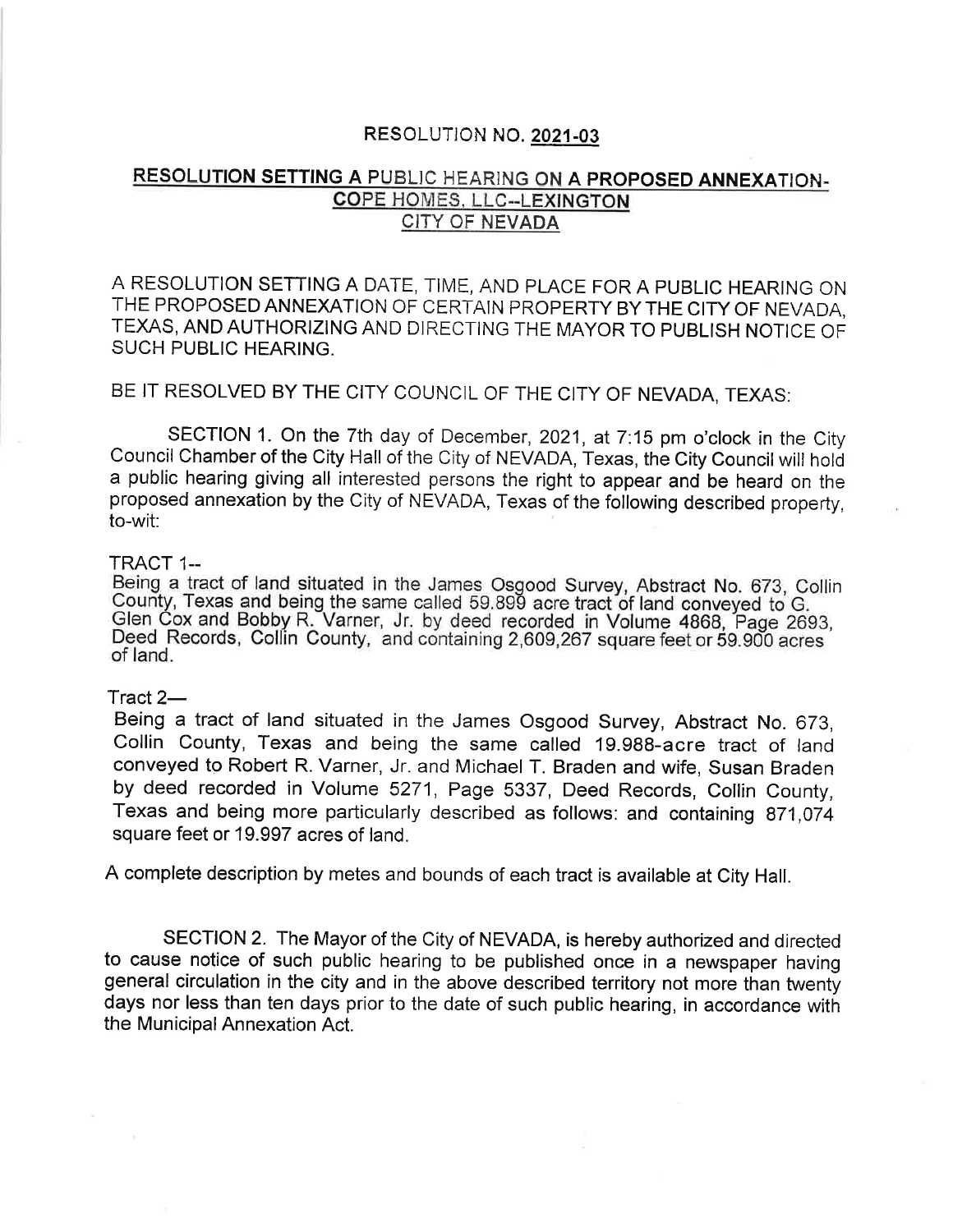# RESOLUTION NO. 2021-03

# RESOLUTION SETTING A PUBLIC HEARING ON A PROPOSED ANNEXATION-COPE HOMES, LLC-.LEXINGTON CITY OF NEVADA

A RESOLUTION SETTING A DATE, TIME, AND PLACE FOR A PUBLIC HEARING ON THE PROPOSED ANNEXATION OF CERTAIN PROPERTY BY THE CITY OF NEVADA, TEXAS, AND AUTHORIZING AND DIRECTING THE MAYOR TO PUBLISH NOTICE OF SUCH PUBLIC HEARING.

# BE IT RESOLVED BY THE CITY COUNCIL OF THE CITY OF NEVADA, TEXAS:

SECTION 1. On the 7th day of December, 2021, at 7'.15 pm o'clock in the City Council Chamber of the City Hall of the City of NEVADA, Texas, the City Council will holà a public hearing giving all interested persons the right to appear and be heard on the proposed annexation by the City of NEVADA, Texas of the following described property, to-wit:

#### ïRACT 1--

Being. a tract of land situated in the James Osgood Survey, Abstract No. 673, Collin County, Texas and being the same called 59.899 acre tract of land conveyed to G.<br>Glen Cox and Bobby R. Varner, Jr. by deed recorded in Volume 4868, Page 2693, Deed Records, Collin County, and containing 2,609,267 square feet or 59.900 acres of land.

# Tract 2-

Being a tract of land situated in the James Osgood Survey, Abstract No. 673, Collin County, Texas and being the same called 19.988-acre tract of land conveyed to Robert R. Varner, Jr. and Michael T. Braden and wife, Susan Braden by deed recorded in Volume 5271, Page 5337, Deed Records, Collin County, Texas and being more particularly described as follows: and containing 871,074 square feet or 19.997 acres of land.

A complete description by metes and bounds of each tract is available at City Hall.

SECTION 2. The Mayor of the City of NEVADA, is hereby authorized and directed to cause notice of such public hearing to be published once in a newspaper having general circulation in the city and in the above described territory not more than twenty days nor less than ten days prior to the date of such public hearing, in accordance with the Municipal Annexation Act.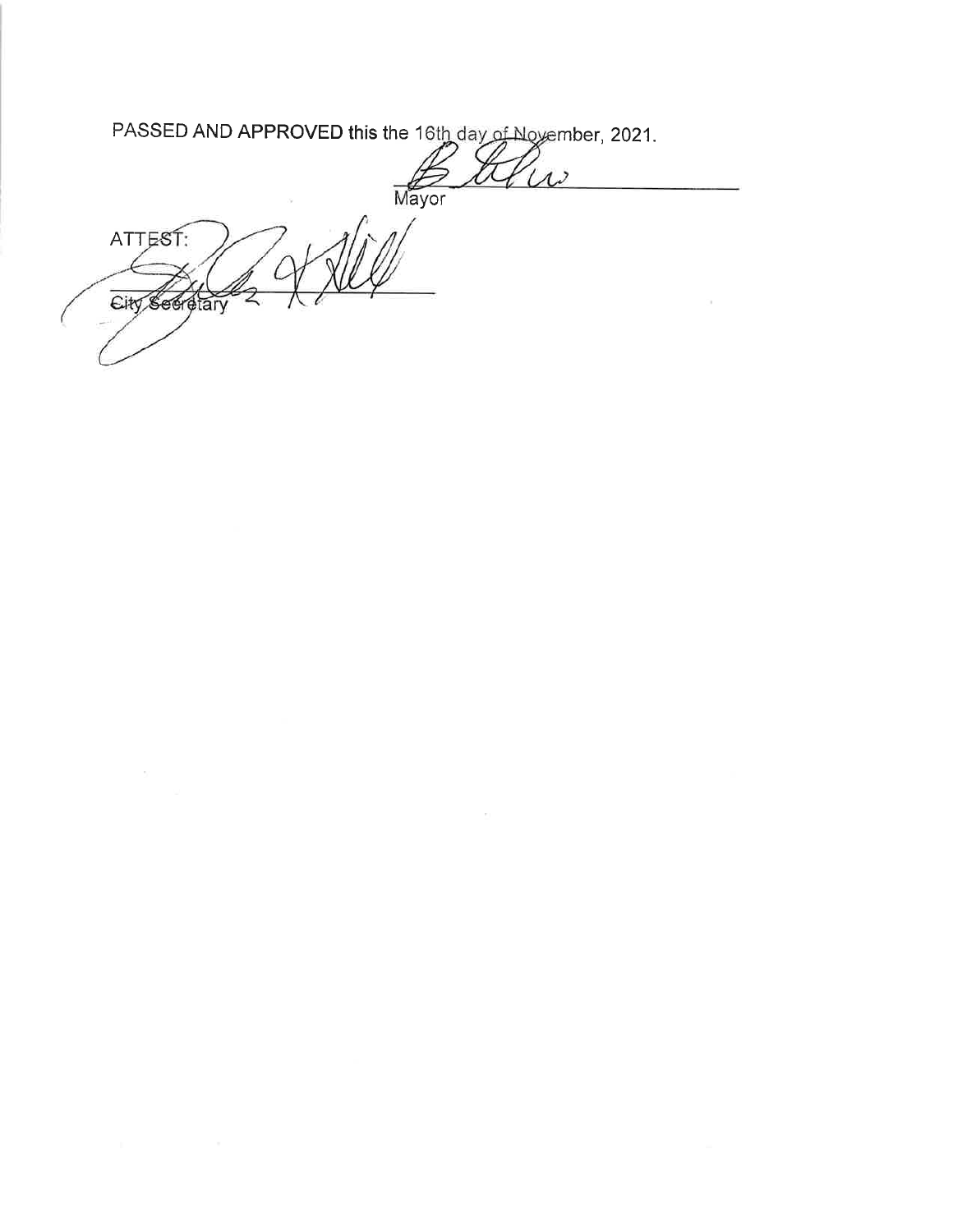PASSED AND APPROVED this the 16th day of November, 2021.

 $\Delta$ Mayor

 $\bar{\rm{c}}$ 

ATTEST: City Seeretary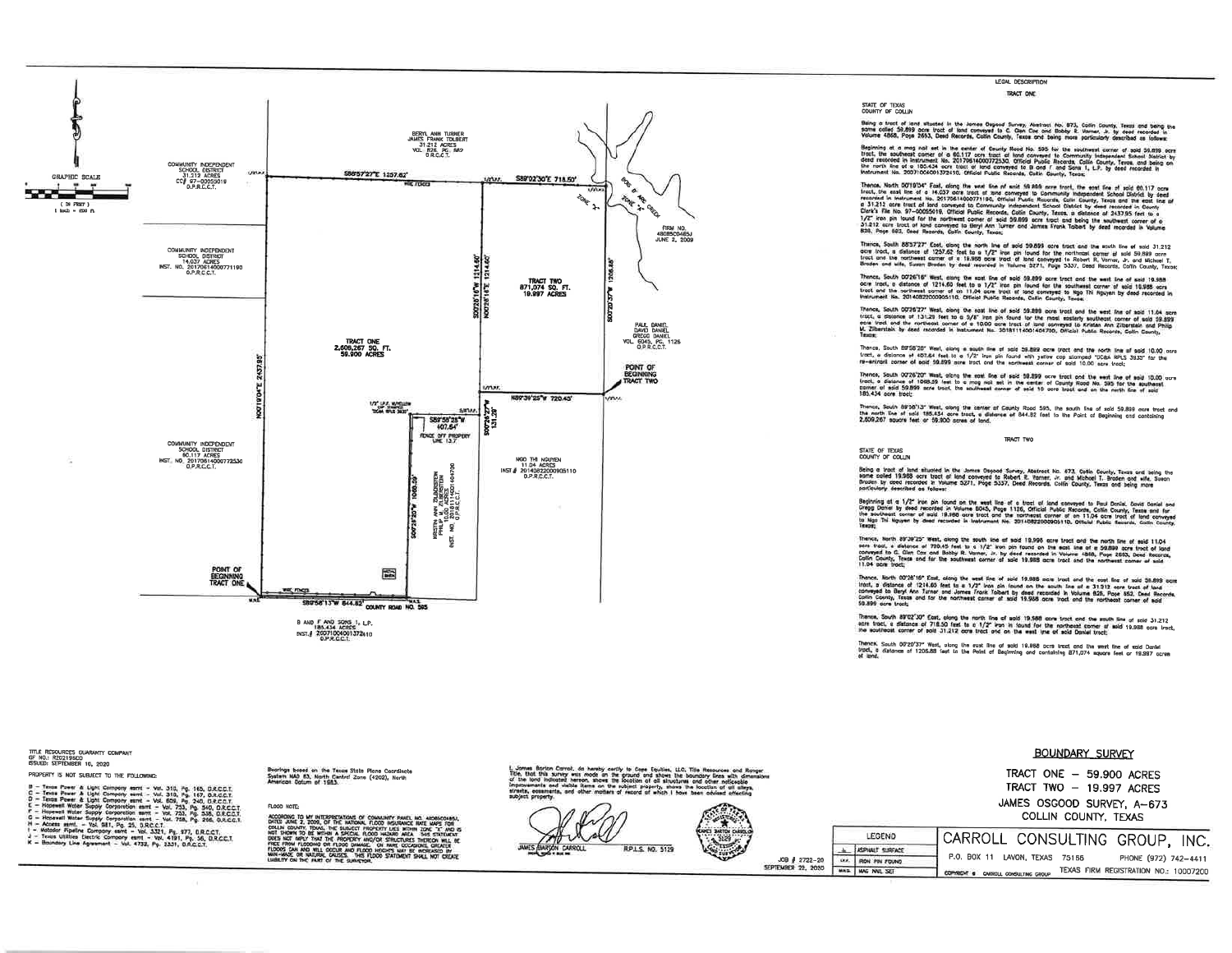

LEGAL DESCRIPTION TRACT ONE

STATE OF TEXAS<br>COUNTY OF COLLIN

Baing a froct of lend allusted in the Jensee Oagood Survey, Abstract No. 873, Colin County, Texas and being<br>some called 59,899 port tract of boxt commyste to G. Chan Coe and Booky R. Varnet. Jr. by deed recorded in<br>Wourne

Beginning at a mag nail set in the center of County Road No. 505 for the southwest corner of sold 50.898 core<br>tract, the southeast corner of a 60.117 ones tract of hord conveyed to Community Independent School Datick by<br>de

Thence, North 00719'04" Fast, along the week fore of work 50.800 persp troot. the east fire of work of the second that the second control in the second that the second theoretical by second the second that is a second that

Thairce, South 85:57727" East, slong the north line of sold 59.899 ocre tract and the south line of sold 31.212<br>ocre lood, a dialonce of 1237.82 feet to a 1/2" iron pix found for the northcast comes at sold 59.899 core<br>tra

Thence, South 00'26"16" West, etong the soat line of sold 59,899 ocre tract and the seat line of exid 19,988<br>ocre tract, a distance of 1214.60 (set to a 1/2" line pin found for the southered corner of exid 19,985 acre<br>trac

Theony, South 0278727" With ching Due past line of acid 50.888 ports und the west for of soid 11.04 done<br>Until, a channes of 131.28 feet to a 3/8" line phy South Mr. the contrast end the population content of soid 33<br>M. Zh

Thence, South BIFSB'28" West, elseng a south fine of sold 58.889 acre tract and the north line of sold 10.00 acre<br>tract, a distance of 487.84 feet to a 1/2" inon pin faund with yelfor cap stamped "10261 891.5 3335" for the

Thence, South 0273527 "Wash olding the east five of east 50.839 ocre tract god the east line of sold 10.00 con<br>Linet, a Gatance of 1088.59 feet to e majo said sel in the earlest of County Rood to. 335 for the eastherst<br>185

Thence, South 88°B8'13" West, along the canter of County Road 595, the south line of said 59,899 acre tract and<br>The moth line of said 185.434 acre tract, a distance of 844.82 feet to the Point of Beginning and containing<br>2 TRACT TWO

STATE OF TEXAS<br>COUNTY OF COLLIN

Being a tract of land eilward in the Jonnes Ospoord Source, Rotteret No. 873, Godin County, Texas end being th<br>some colled 19,388 oore tract of lood converted as Robert R. Women Jr. and Method T. Broden over mele, 2000n<br>po

Beginning at a 1/2" byn pie food op the wat floe at a bract of one comment to Foul Doniel Don'el Gard sand not<br>Orego Don'el by dead recorded in Younge (DAS, Press 1376, Official Government of Society, Testa and for the p<br>I

Thence, Nurth 89'39'25" West, along the south line of sold 19,996 ocre tract and the north line of sold 11,04<br>scre frost, a dialonce of 720.45 feet to a 1/2" iron pin found on the east line of a 53,899 acre troot of lond<br>C

Thence, North 00'25'10" East, along the west Fine of sold 19.005 acre tract and the east fine of sold 38.899 ecre<br>titot, a victories of 1214.05' feet to a 1/2" from pin found on the south Tine at e 31.312 ears tract of lan

Theme. South 89°CE'30" Cast. olong the north fine of epid 19,988 open track and the eauth fine of sold 31,212<br>eith track is distance of 718.50 feet to a 1/2" van in found for the northeast conner at mid 19,988 ocro track<br>T

Thence, South 00'20'37" West, along the east line of sold 19.888 acre tract and the west line of sold Daniel<br>bigct, is distance of 1206.88 feet to the Point of Beginning and containing 871,074 square (eet or 19.987 acres<br>a

#### **BOUNDARY SURVEY**

TRACT ONE - 59,900 ACRES TRACT TWO - 19.997 ACRES JAMES OSGOOD SURVEY, A-673 COLLIN COUNTY, TEXAS

CARROLL CONSULTING GROUP, INC. LEGEND ASPIRUT SURFACE P.O. BOX 11 LAVON, TEXAS 75166 PHONE (972) 742-4411 JOB # 2722-20 UKA RON PIN FOUND TEXAS FIRM REGISTRATION NO.: 10007200 MAS MAC NAIL SIT COMMISSION & CARROLL CONSULTING GROUP

title resources Guaranty Company<br>GF NO.: R20219BCO<br>ISSUED: SEPTEMBER 10, 2020 PROPERTY IS NOT SUBJECT TO THE FOLLOWING:

- 
- Photos To High Centre with the results of the SSC Pa 165 DRCCI.<br>
C Toss Power & Upst Centrey went Vol. 310, Pg 165, DRCCI.<br>
C Toss Power & Upst Centrey went Vol. 300, Pg 340, DRCCI.<br>
C Toss Power & Upst Centrey
- 

- 
- 

Bearings bosed on the Tesas State Plane Coordinate<br>System NAD B3, North Central Zone (4202), North<br>American Datum of 1983

#### FLOOD NOTE:

ACCORDING TO INTERPRETATION OF CONNUNTY PARTS, MC, MORGOVER, CONNECTION (2014) CONNECTION (2014) CONNECTION (2014) CONNECTION (2014) CONNECTION (2014) CONNECTION (2014) CONNECTION (2014) CONNECTION (2014) CONNECTION (2014)

prion Carrol, de hersky certly to Cope Equities, LLC, Title Resources and Ronger<br>this survey was mode on the graund and shown the boundary lines with dimension<br>I indicated hereon, shows the Socion of oil shrutures and othe

RPLS. NO. 5129

SEPTEMBER 22, 2020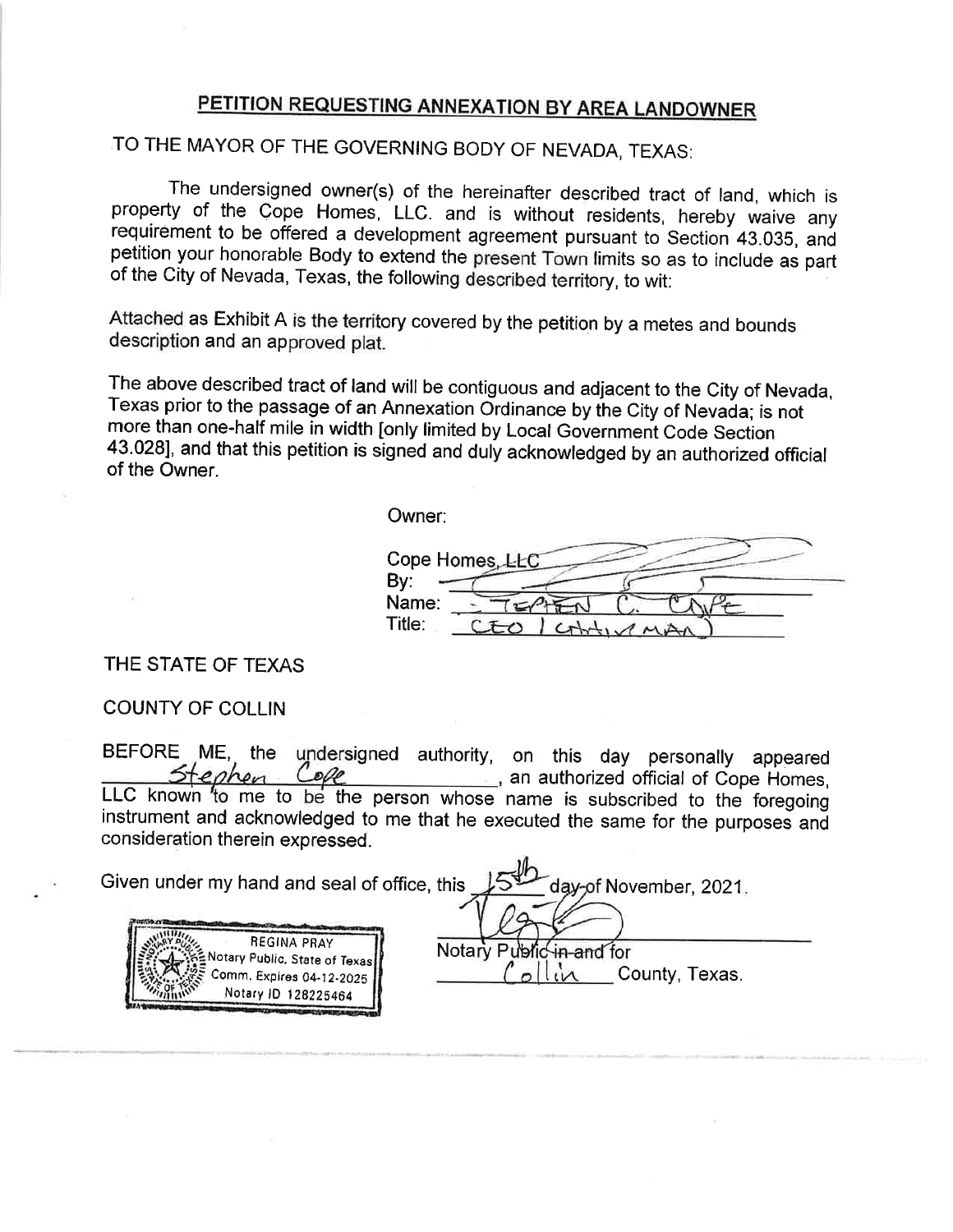# PETITION REQUESTING ANNEXATION BY AREA LANDOWNER

# TO THE MAYOR OF THE GOVERNING BODY OF NEVADA, TEXAS:

The undersigned owner(s) of the hereinafter described tract of land, which is property of the Cope Homes, LLC. and is without residents, hereby waive any requirement to be offered a development agreement pursuant to Sectio of the city of Nevada, Texas, the foilowing described territory, to wit:

Attached as Exhibit A is the territory covered by the petition by a metes and bounds description and an approved plat.

The above described tract of land will be contiguous and adjacent to the Cíty of Nevada, Texas prior to the passage of an Annexation Ordinance by the City of Nevada; is not more than one-half mile in width [only limited by Local Governmeni Code Section 43.4281, and that this petition is signed and duly acknowledged by an authorized official of the Owner.

Owner:

Cope Homes, LLC By: Name:  $\Gamma \subset \varnothing$ Title: CEO

THE STATE OF TEXAS

COUNTY OF COLLIN

BEFORE ME, the undersigned authority, on this day personally appeared<br>
Stenhen Colle an authorized official of Cope Homes, LLC known to me to be the person whose name is subscribed to the foregoing instrument and acknowledged to me that he executed the same for the purposes and consideration therein expressed.

| Given under my hand and seal of office, this<br>day-of November, 2021. |                          |
|------------------------------------------------------------------------|--------------------------|
| <b>REGINA PRAY</b><br>Notary Public, State of Texas                    | Notary Public in and for |
| ∠≅ Comm. Expires 04-12-2025 P<br>Notary ID 128225464                   | County, Texas.           |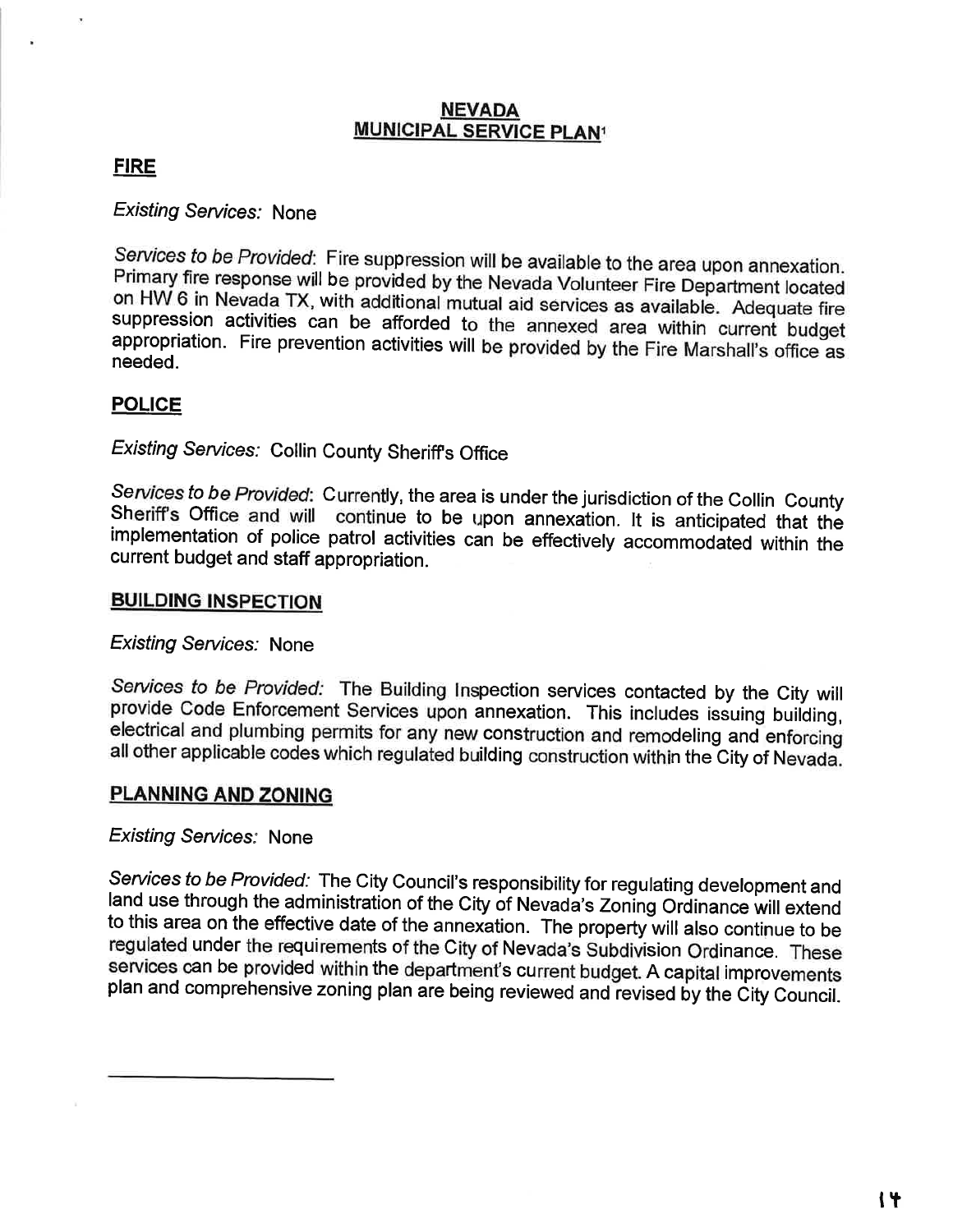# **NEVADA MUNICIPAL SERVICE PLAN<sup>1</sup>**

# **FIRE**

**Existing Services: None** 

Services to be Provided: Fire suppression will be available to the area upon annexation. Primary fire response will be provided by the Nevada Volunteer Fire Department located on HW 6 in Nevada TX, with additional mutual aid services as available. Adequate fire suppression activities can be afforded to the annexed area within current budget appropriation. Fire prevention activities will be provided by the Fire Marshall's office as needed.

# **POLICE**

**Existing Services: Collin County Sheriff's Office** 

Services to be Provided: Currently, the area is under the jurisdiction of the Collin County Sheriff's Office and will continue to be upon annexation. It is anticipated that the implementation of police patrol activities can be effectively accommodated within the current budget and staff appropriation.

# **BUILDING INSPECTION**

**Existing Services: None** 

Services to be Provided: The Building Inspection services contacted by the City will provide Code Enforcement Services upon annexation. This includes issuing building, electrical and plumbing permits for any new construction and remodeling and enforcing all other applicable codes which regulated building construction within the City of Nevada.

# **PLANNING AND ZONING**

# **Existing Services: None**

Services to be Provided: The City Council's responsibility for regulating development and land use through the administration of the City of Nevada's Zoning Ordinance will extend to this area on the effective date of the annexation. The property will also continue to be regulated under the requirements of the City of Nevada's Subdivision Ordinance. These services can be provided within the department's current budget. A capital improvements plan and comprehensive zoning plan are being reviewed and revised by the City Council.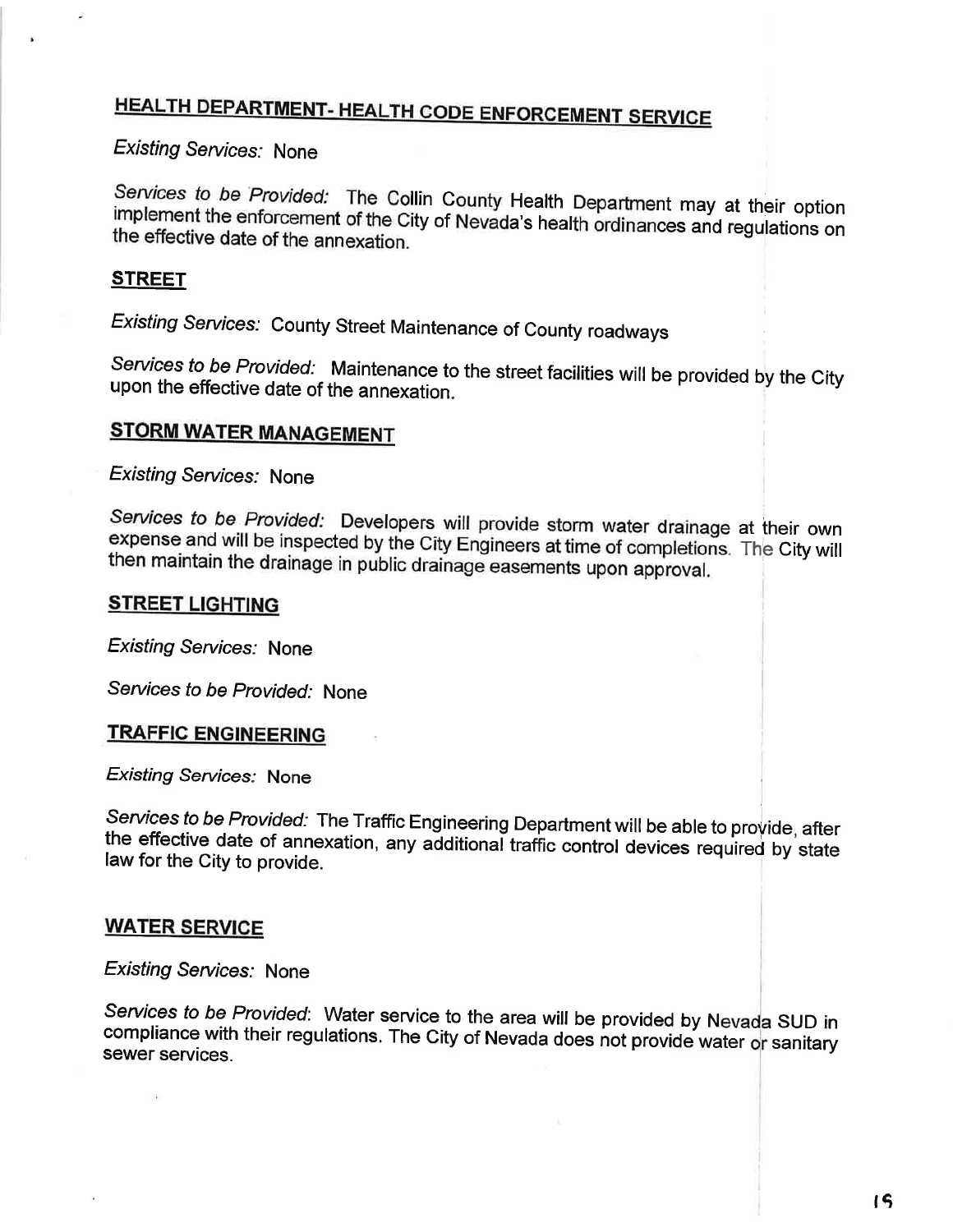# **HEALTH DEPARTMENT- HEALTH CODE ENFORCEMENT SERVICE**

**Existing Services: None** 

Services to be Provided: The Collin County Health Department may at their option implement the enforcement of the City of Nevada's health ordinances and regulations on the effective date of the annexation.

# <u>STREET</u>

Existing Services: County Street Maintenance of County roadways

Services to be Provided: Maintenance to the street facilities will be provided by the City upon the effective date of the annexation.

# **STORM WATER MANAGEMENT**

**Existing Services: None** 

Services to be Provided: Developers will provide storm water drainage at their own expense and will be inspected by the City Engineers at time of completions. The City will then maintain the drainage in public drainage easements upon approval.

### **STREET LIGHTING**

**Existing Services: None** 

Services to be Provided: None

### **TRAFFIC ENGINEERING**

**Existing Services: None** 

Services to be Provided: The Traffic Engineering Department will be able to provide, after the effective date of annexation, any additional traffic control devices required by state law for the City to provide.

# **WATER SERVICE**

**Existing Services: None** 

Services to be Provided: Water service to the area will be provided by Nevada SUD in compliance with their regulations. The City of Nevada does not provide water or sanitary sewer services.